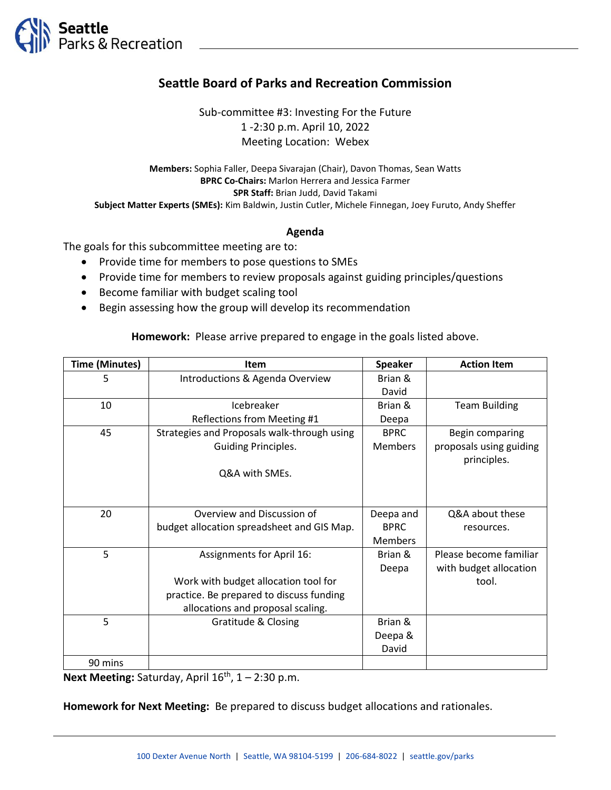

## **Seattle Board of Parks and Recreation Commission**

Sub-committee #3: Investing For the Future 1 -2:30 p.m. April 10, 2022 Meeting Location: Webex

**Members:** Sophia Faller, Deepa Sivarajan (Chair), Davon Thomas, Sean Watts **BPRC Co-Chairs:** Marlon Herrera and Jessica Farmer **SPR Staff:** Brian Judd, David Takami **Subject Matter Experts (SMEs):** Kim Baldwin, Justin Cutler, Michele Finnegan, Joey Furuto, Andy Sheffer

## **Agenda**

The goals for this subcommittee meeting are to:

- Provide time for members to pose questions to SMEs
- Provide time for members to review proposals against guiding principles/questions
- Become familiar with budget scaling tool
- Begin assessing how the group will develop its recommendation

**Homework:** Please arrive prepared to engage in the goals listed above.

| <b>Time (Minutes)</b> | Item                                        | <b>Speaker</b> | <b>Action Item</b>      |
|-----------------------|---------------------------------------------|----------------|-------------------------|
| 5                     | Introductions & Agenda Overview             | Brian &        |                         |
|                       |                                             | David          |                         |
| 10                    | Icebreaker                                  | Brian &        | <b>Team Building</b>    |
|                       | Reflections from Meeting #1                 | Deepa          |                         |
| 45                    | Strategies and Proposals walk-through using | <b>BPRC</b>    | Begin comparing         |
|                       | <b>Guiding Principles.</b>                  | <b>Members</b> | proposals using guiding |
|                       |                                             |                | principles.             |
|                       | Q&A with SMEs.                              |                |                         |
|                       |                                             |                |                         |
|                       |                                             |                |                         |
| 20                    | Overview and Discussion of                  | Deepa and      | Q&A about these         |
|                       | budget allocation spreadsheet and GIS Map.  | <b>BPRC</b>    | resources.              |
|                       |                                             | <b>Members</b> |                         |
| 5                     | <b>Assignments for April 16:</b>            | Brian &        | Please become familiar  |
|                       |                                             | Deepa          | with budget allocation  |
|                       | Work with budget allocation tool for        |                | tool.                   |
|                       | practice. Be prepared to discuss funding    |                |                         |
|                       | allocations and proposal scaling.           |                |                         |
| 5                     | Gratitude & Closing                         | Brian &        |                         |
|                       |                                             | Deepa &        |                         |
|                       |                                             | David          |                         |
| 90 mins               |                                             |                |                         |

Next Meeting: Saturday, April 16<sup>th</sup>, 1 – 2:30 p.m.

**Homework for Next Meeting:** Be prepared to discuss budget allocations and rationales.